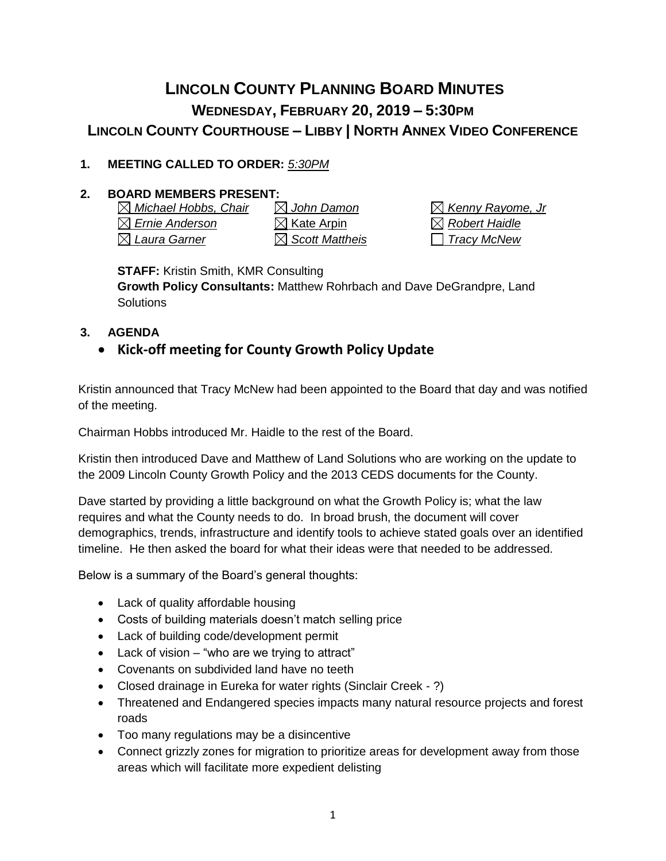# **LINCOLN COUNTY PLANNING BOARD MINUTES WEDNESDAY, FEBRUARY 20, 2019 – 5:30PM LINCOLN COUNTY COURTHOUSE – LIBBY | NORTH ANNEX VIDEO CONFERENCE**

## **1. MEETING CALLED TO ORDER:** *5:30PM*

## **2. BOARD MEMBERS PRESENT:**

*Michael Hobbs, Chair John Damon Kenny Rayome, Jr*  $\boxtimes$  **Ernie Anderson**  $\boxtimes$  **Kate Arpin**  $\boxtimes$  Robert Haidle *Laura Garner Scott Mattheis Tracy McNew*

**STAFF:** Kristin Smith, KMR Consulting

**Growth Policy Consultants:** Matthew Rohrbach and Dave DeGrandpre, Land **Solutions** 

#### **3. AGENDA**

## • **Kick-off meeting for County Growth Policy Update**

Kristin announced that Tracy McNew had been appointed to the Board that day and was notified of the meeting.

Chairman Hobbs introduced Mr. Haidle to the rest of the Board.

Kristin then introduced Dave and Matthew of Land Solutions who are working on the update to the 2009 Lincoln County Growth Policy and the 2013 CEDS documents for the County.

Dave started by providing a little background on what the Growth Policy is; what the law requires and what the County needs to do. In broad brush, the document will cover demographics, trends, infrastructure and identify tools to achieve stated goals over an identified timeline. He then asked the board for what their ideas were that needed to be addressed.

Below is a summary of the Board's general thoughts:

- Lack of quality affordable housing
- Costs of building materials doesn't match selling price
- Lack of building code/development permit
- Lack of vision "who are we trying to attract"
- Covenants on subdivided land have no teeth
- Closed drainage in Eureka for water rights (Sinclair Creek ?)
- Threatened and Endangered species impacts many natural resource projects and forest roads
- Too many regulations may be a disincentive
- Connect grizzly zones for migration to prioritize areas for development away from those areas which will facilitate more expedient delisting